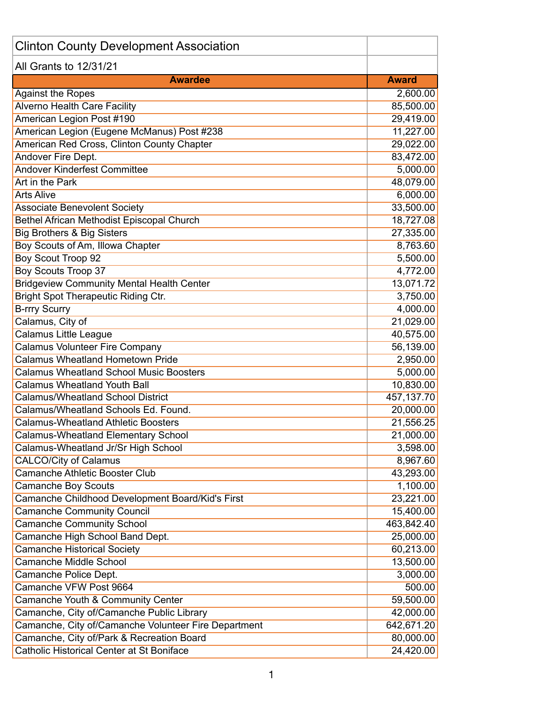| <b>Clinton County Development Association</b>        |              |
|------------------------------------------------------|--------------|
| All Grants to 12/31/21                               |              |
| <b>Awardee</b>                                       | <b>Award</b> |
| <b>Against the Ropes</b>                             | 2,600.00     |
| <b>Alverno Health Care Facility</b>                  | 85,500.00    |
| <b>American Legion Post #190</b>                     | 29,419.00    |
| American Legion (Eugene McManus) Post #238           | 11,227.00    |
| American Red Cross, Clinton County Chapter           | 29,022.00    |
| <b>Andover Fire Dept.</b>                            | 83,472.00    |
| <b>Andover Kinderfest Committee</b>                  | 5,000.00     |
| Art in the Park                                      | 48,079.00    |
| <b>Arts Alive</b>                                    | 6,000.00     |
| <b>Associate Benevolent Society</b>                  | 33,500.00    |
| <b>Bethel African Methodist Episcopal Church</b>     | 18,727.08    |
| <b>Big Brothers &amp; Big Sisters</b>                | 27,335.00    |
| Boy Scouts of Am, Illowa Chapter                     | 8,763.60     |
| <b>Boy Scout Troop 92</b>                            | 5,500.00     |
| <b>Boy Scouts Troop 37</b>                           | 4,772.00     |
| <b>Bridgeview Community Mental Health Center</b>     | 13,071.72    |
| <b>Bright Spot Therapeutic Riding Ctr.</b>           | 3,750.00     |
| <b>B-rrry Scurry</b>                                 | 4,000.00     |
| Calamus, City of                                     | 21,029.00    |
| <b>Calamus Little League</b>                         | 40,575.00    |
| <b>Calamus Volunteer Fire Company</b>                | 56,139.00    |
| <b>Calamus Wheatland Hometown Pride</b>              | 2,950.00     |
| <b>Calamus Wheatland School Music Boosters</b>       | 5,000.00     |
| <b>Calamus Wheatland Youth Ball</b>                  | 10,830.00    |
| <b>Calamus/Wheatland School District</b>             | 457,137.70   |
| Calamus/Wheatland Schools Ed. Found.                 | 20,000.00    |
| <b>Calamus-Wheatland Athletic Boosters</b>           | 21,556.25    |
| <b>Calamus-Wheatland Elementary School</b>           | 21,000.00    |
| Calamus-Wheatland Jr/Sr High School                  | 3,598.00     |
| <b>CALCO/City of Calamus</b>                         | 8,967.60     |
| <b>Camanche Athletic Booster Club</b>                | 43,293.00    |
| <b>Camanche Boy Scouts</b>                           | 1,100.00     |
| Camanche Childhood Development Board/Kid's First     | 23,221.00    |
| <b>Camanche Community Council</b>                    | 15,400.00    |
| <b>Camanche Community School</b>                     | 463,842.40   |
| Camanche High School Band Dept.                      | 25,000.00    |
| <b>Camanche Historical Society</b>                   | 60,213.00    |
| <b>Camanche Middle School</b>                        | 13,500.00    |
| Camanche Police Dept.                                | 3,000.00     |
| Camanche VFW Post 9664                               | 500.00       |
| Camanche Youth & Community Center                    | 59,500.00    |
| Camanche, City of/Camanche Public Library            | 42,000.00    |
| Camanche, City of/Camanche Volunteer Fire Department | 642,671.20   |
| Camanche, City of/Park & Recreation Board            | 80,000.00    |
| <b>Catholic Historical Center at St Boniface</b>     | 24,420.00    |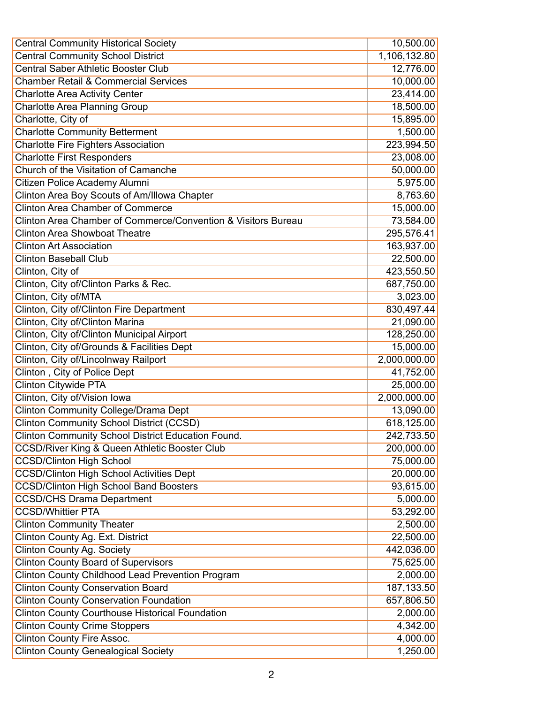| <b>Central Community Historical Society</b>                   | 10,500.00              |
|---------------------------------------------------------------|------------------------|
| <b>Central Community School District</b>                      | 1,106,132.80           |
| <b>Central Saber Athletic Booster Club</b>                    | 12,776.00              |
| <b>Chamber Retail &amp; Commercial Services</b>               | 10,000.00              |
| <b>Charlotte Area Activity Center</b>                         | 23,414.00              |
| <b>Charlotte Area Planning Group</b>                          | 18,500.00              |
| Charlotte, City of                                            | 15,895.00              |
| <b>Charlotte Community Betterment</b>                         | 1,500.00               |
| <b>Charlotte Fire Fighters Association</b>                    | 223,994.50             |
| <b>Charlotte First Responders</b>                             | 23,008.00              |
| Church of the Visitation of Camanche                          | 50,000.00              |
| Citizen Police Academy Alumni                                 | 5,975.00               |
| Clinton Area Boy Scouts of Am/Illowa Chapter                  | 8,763.60               |
| <b>Clinton Area Chamber of Commerce</b>                       | 15,000.00              |
| Clinton Area Chamber of Commerce/Convention & Visitors Bureau | 73,584.00              |
| <b>Clinton Area Showboat Theatre</b>                          | 295,576.41             |
| <b>Clinton Art Association</b>                                | 163,937.00             |
| <b>Clinton Baseball Club</b>                                  | $\overline{22,500.00}$ |
| Clinton, City of                                              | 423,550.50             |
| Clinton, City of/Clinton Parks & Rec.                         | 687,750.00             |
| Clinton, City of/MTA                                          | 3,023.00               |
| Clinton, City of/Clinton Fire Department                      | 830,497.44             |
| Clinton, City of/Clinton Marina                               | 21,090.00              |
| Clinton, City of/Clinton Municipal Airport                    | 128,250.00             |
| Clinton, City of/Grounds & Facilities Dept                    | 15,000.00              |
| Clinton, City of/Lincolnway Railport                          | 2,000,000.00           |
| Clinton, City of Police Dept                                  | 41,752.00              |
| <b>Clinton Citywide PTA</b>                                   | 25,000.00              |
| Clinton, City of/Vision Iowa                                  | 2,000,000.00           |
| <b>Clinton Community College/Drama Dept</b>                   | 13,090.00              |
| <b>Clinton Community School District (CCSD)</b>               | 618,125.00             |
| Clinton Community School District Education Found.            | 242,733.50             |
| <b>CCSD/River King &amp; Queen Athletic Booster Club</b>      | 200,000.00             |
| <b>CCSD/Clinton High School</b>                               | 75,000.00              |
| <b>CCSD/Clinton High School Activities Dept</b>               | 20,000.00              |
| <b>CCSD/Clinton High School Band Boosters</b>                 | 93,615.00              |
| <b>CCSD/CHS Drama Department</b>                              | 5,000.00               |
| <b>CCSD/Whittier PTA</b>                                      | 53,292.00              |
| <b>Clinton Community Theater</b>                              | 2,500.00               |
| Clinton County Ag. Ext. District                              | 22,500.00              |
| <b>Clinton County Ag. Society</b>                             | 442,036.00             |
| <b>Clinton County Board of Supervisors</b>                    | 75,625.00              |
| Clinton County Childhood Lead Prevention Program              | 2,000.00               |
| <b>Clinton County Conservation Board</b>                      | 187, 133.50            |
| <b>Clinton County Conservation Foundation</b>                 | 657,806.50             |
| <b>Clinton County Courthouse Historical Foundation</b>        | 2,000.00               |
| <b>Clinton County Crime Stoppers</b>                          | 4,342.00               |
| <b>Clinton County Fire Assoc.</b>                             | 4,000.00               |
| <b>Clinton County Genealogical Society</b>                    | 1,250.00               |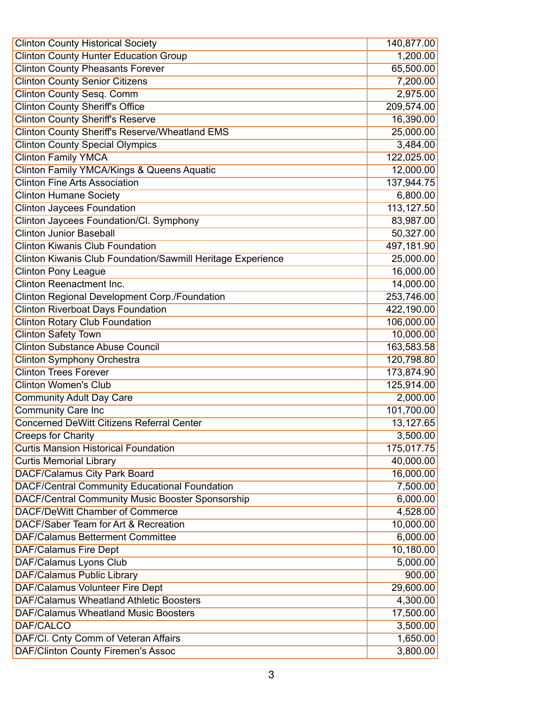| <b>Clinton County Historical Society</b>                    | 140,877.00 |
|-------------------------------------------------------------|------------|
| <b>Clinton County Hunter Education Group</b>                | 1,200.00   |
| <b>Clinton County Pheasants Forever</b>                     | 65,500.00  |
| <b>Clinton County Senior Citizens</b>                       | 7,200.00   |
| <b>Clinton County Sesq. Comm</b>                            | 2,975.00   |
| <b>Clinton County Sheriff's Office</b>                      | 209,574.00 |
| <b>Clinton County Sheriff's Reserve</b>                     | 16,390.00  |
| <b>Clinton County Sheriff's Reserve/Wheatland EMS</b>       | 25,000.00  |
| <b>Clinton County Special Olympics</b>                      | 3,484.00   |
| <b>Clinton Family YMCA</b>                                  | 122,025.00 |
| <b>Clinton Family YMCA/Kings &amp; Queens Aquatic</b>       | 12,000.00  |
| <b>Clinton Fine Arts Association</b>                        | 137,944.75 |
| <b>Clinton Humane Society</b>                               | 6,800.00   |
| <b>Clinton Jaycees Foundation</b>                           | 113,127.50 |
| Clinton Jaycees Foundation/Cl. Symphony                     | 83,987.00  |
| <b>Clinton Junior Baseball</b>                              | 50,327.00  |
| <b>Clinton Kiwanis Club Foundation</b>                      | 497,181.90 |
| Clinton Kiwanis Club Foundation/Sawmill Heritage Experience | 25,000.00  |
| <b>Clinton Pony League</b>                                  | 16,000.00  |
| <b>Clinton Reenactment Inc.</b>                             | 14,000.00  |
| <b>Clinton Regional Development Corp./Foundation</b>        | 253,746.00 |
| <b>Clinton Riverboat Days Foundation</b>                    | 422,190.00 |
| <b>Clinton Rotary Club Foundation</b>                       | 106,000.00 |
| <b>Clinton Safety Town</b>                                  | 10,000.00  |
| <b>Clinton Substance Abuse Council</b>                      | 163,583.58 |
| <b>Clinton Symphony Orchestra</b>                           | 120,798.80 |
| <b>Clinton Trees Forever</b>                                | 173,874.90 |
| <b>Clinton Women's Club</b>                                 | 125,914.00 |
| <b>Community Adult Day Care</b>                             | 2,000.00   |
| <b>Community Care Inc</b>                                   | 101,700.00 |
| <b>Concerned DeWitt Citizens Referral Center</b>            | 13,127.65  |
| <b>Creeps for Charity</b>                                   | 3,500.00   |
| <b>Curtis Mansion Historical Foundation</b>                 | 175,017.75 |
| <b>Curtis Memorial Library</b>                              | 40,000.00  |
| <b>DACF/Calamus City Park Board</b>                         | 16,000.00  |
| <b>DACF/Central Community Educational Foundation</b>        | 7,500.00   |
| <b>DACF/Central Community Music Booster Sponsorship</b>     | 6,000.00   |
| DACF/DeWitt Chamber of Commerce                             | 4,528.00   |
| DACF/Saber Team for Art & Recreation                        | 10,000.00  |
| <b>DAF/Calamus Betterment Committee</b>                     | 6,000.00   |
| DAF/Calamus Fire Dept                                       | 10,180.00  |
| <b>DAF/Calamus Lyons Club</b>                               | 5,000.00   |
| <b>DAF/Calamus Public Library</b>                           | 900.00     |
| <b>DAF/Calamus Volunteer Fire Dept</b>                      | 29,600.00  |
| <b>DAF/Calamus Wheatland Athletic Boosters</b>              | 4,300.00   |
| DAF/Calamus Wheatland Music Boosters                        | 17,500.00  |
| DAF/CALCO                                                   | 3,500.00   |
| DAF/Cl. Cnty Comm of Veteran Affairs                        | 1,650.00   |
| <b>DAF/Clinton County Firemen's Assoc</b>                   | 3,800.00   |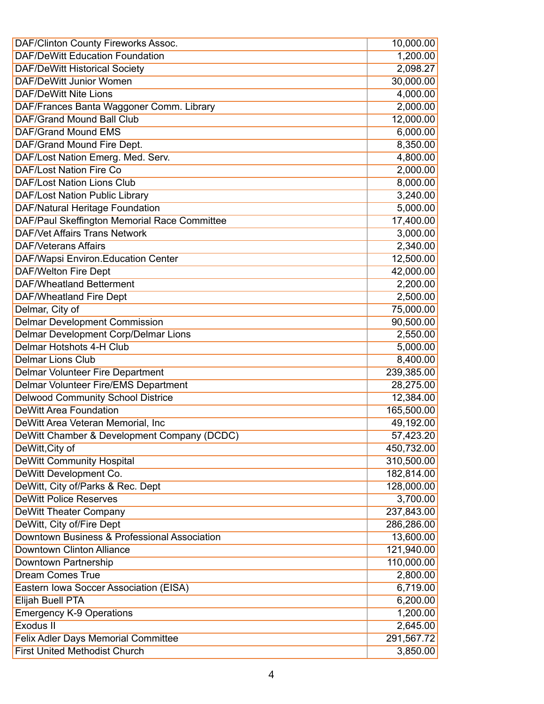| DAF/Clinton County Fireworks Assoc.          | 10,000.00  |
|----------------------------------------------|------------|
| <b>DAF/DeWitt Education Foundation</b>       | 1,200.00   |
| <b>DAF/DeWitt Historical Society</b>         | 2,098.27   |
| <b>DAF/DeWitt Junior Women</b>               | 30,000.00  |
| <b>DAF/DeWitt Nite Lions</b>                 | 4,000.00   |
| DAF/Frances Banta Waggoner Comm. Library     | 2,000.00   |
| <b>DAF/Grand Mound Ball Club</b>             | 12,000.00  |
| DAF/Grand Mound EMS                          | 6,000.00   |
| DAF/Grand Mound Fire Dept.                   | 8,350.00   |
| DAF/Lost Nation Emerg. Med. Serv.            | 4,800.00   |
| <b>DAF/Lost Nation Fire Co</b>               | 2,000.00   |
| <b>DAF/Lost Nation Lions Club</b>            | 8,000.00   |
| DAF/Lost Nation Public Library               | 3,240.00   |
| <b>DAF/Natural Heritage Foundation</b>       | 5,000.00   |
| DAF/Paul Skeffington Memorial Race Committee | 17,400.00  |
| <b>DAF/Vet Affairs Trans Network</b>         | 3,000.00   |
| <b>DAF/Veterans Affairs</b>                  | 2,340.00   |
| <b>DAF/Wapsi Environ.Education Center</b>    | 12,500.00  |
| <b>DAF/Welton Fire Dept</b>                  | 42,000.00  |
| <b>DAF/Wheatland Betterment</b>              | 2,200.00   |
| <b>DAF/Wheatland Fire Dept</b>               | 2,500.00   |
| Delmar, City of                              | 75,000.00  |
| <b>Delmar Development Commission</b>         | 90,500.00  |
| <b>Delmar Development Corp/Delmar Lions</b>  | 2,550.00   |
| <b>Delmar Hotshots 4-H Club</b>              | 5,000.00   |
| <b>Delmar Lions Club</b>                     | 8,400.00   |
| <b>Delmar Volunteer Fire Department</b>      | 239,385.00 |
| <b>Delmar Volunteer Fire/EMS Department</b>  | 28,275.00  |
| <b>Delwood Community School Districe</b>     | 12,384.00  |
| <b>DeWitt Area Foundation</b>                | 165,500.00 |
| DeWitt Area Veteran Memorial, Inc            | 49,192.00  |
| DeWitt Chamber & Development Company (DCDC)  | 57,423.20  |
| DeWitt, City of                              | 450,732.00 |
| <b>DeWitt Community Hospital</b>             | 310,500.00 |
| DeWitt Development Co.                       | 182,814.00 |
| DeWitt, City of/Parks & Rec. Dept            | 128,000.00 |
| <b>DeWitt Police Reserves</b>                | 3,700.00   |
| <b>DeWitt Theater Company</b>                | 237,843.00 |
| DeWitt, City of/Fire Dept                    | 286,286.00 |
| Downtown Business & Professional Association | 13,600.00  |
| <b>Downtown Clinton Alliance</b>             | 121,940.00 |
| Downtown Partnership                         | 110,000.00 |
| <b>Dream Comes True</b>                      | 2,800.00   |
| Eastern Iowa Soccer Association (EISA)       | 6,719.00   |
| Elijah Buell PTA                             | 6,200.00   |
| <b>Emergency K-9 Operations</b>              | 1,200.00   |
| Exodus II                                    | 2,645.00   |
| <b>Felix Adler Days Memorial Committee</b>   | 291,567.72 |
| <b>First United Methodist Church</b>         | 3,850.00   |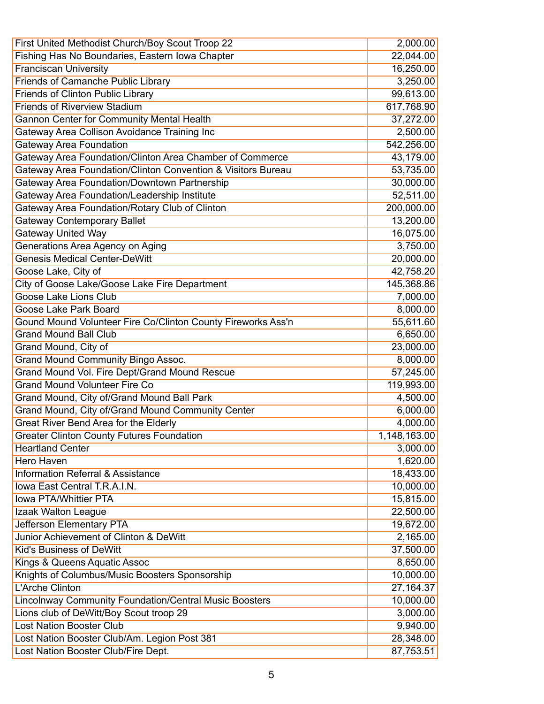| First United Methodist Church/Boy Scout Troop 22              | 2,000.00     |
|---------------------------------------------------------------|--------------|
| Fishing Has No Boundaries, Eastern Iowa Chapter               | 22,044.00    |
| <b>Franciscan University</b>                                  | 16,250.00    |
| Friends of Camanche Public Library                            | 3,250.00     |
| <b>Friends of Clinton Public Library</b>                      | 99,613.00    |
| <b>Friends of Riverview Stadium</b>                           | 617,768.90   |
| <b>Gannon Center for Community Mental Health</b>              | 37,272.00    |
| Gateway Area Collison Avoidance Training Inc                  | 2,500.00     |
| <b>Gateway Area Foundation</b>                                | 542,256.00   |
| Gateway Area Foundation/Clinton Area Chamber of Commerce      | 43,179.00    |
| Gateway Area Foundation/Clinton Convention & Visitors Bureau  | 53,735.00    |
| Gateway Area Foundation/Downtown Partnership                  | 30,000.00    |
| Gateway Area Foundation/Leadership Institute                  | 52,511.00    |
| Gateway Area Foundation/Rotary Club of Clinton                | 200,000.00   |
| <b>Gateway Contemporary Ballet</b>                            | 13,200.00    |
| <b>Gateway United Way</b>                                     | 16,075.00    |
| Generations Area Agency on Aging                              | 3,750.00     |
| <b>Genesis Medical Center-DeWitt</b>                          | 20,000.00    |
| Goose Lake, City of                                           | 42,758.20    |
| City of Goose Lake/Goose Lake Fire Department                 | 145,368.86   |
| <b>Goose Lake Lions Club</b>                                  | 7,000.00     |
| Goose Lake Park Board                                         | 8,000.00     |
| Gound Mound Volunteer Fire Co/Clinton County Fireworks Ass'n  | 55,611.60    |
| <b>Grand Mound Ball Club</b>                                  | 6,650.00     |
| Grand Mound, City of                                          | 23,000.00    |
| <b>Grand Mound Community Bingo Assoc.</b>                     | 8,000.00     |
| Grand Mound Vol. Fire Dept/Grand Mound Rescue                 | 57,245.00    |
| <b>Grand Mound Volunteer Fire Co</b>                          | 119,993.00   |
| Grand Mound, City of/Grand Mound Ball Park                    | 4,500.00     |
| Grand Mound, City of/Grand Mound Community Center             | 6,000.00     |
| <b>Great River Bend Area for the Elderly</b>                  | 4,000.00     |
| <b>Greater Clinton County Futures Foundation</b>              | 1,148,163.00 |
| <b>Heartland Center</b>                                       | 3,000.00     |
| Hero Haven                                                    | 1,620.00     |
| <b>Information Referral &amp; Assistance</b>                  | 18,433.00    |
| Iowa East Central T.R.A.I.N.                                  | 10,000.00    |
| Iowa PTA/Whittier PTA                                         | 15,815.00    |
| Izaak Walton League                                           | 22,500.00    |
| <b>Jefferson Elementary PTA</b>                               | 19,672.00    |
| Junior Achievement of Clinton & DeWitt                        | 2,165.00     |
| <b>Kid's Business of DeWitt</b>                               | 37,500.00    |
| Kings & Queens Aquatic Assoc                                  | 8,650.00     |
| Knights of Columbus/Music Boosters Sponsorship                | 10,000.00    |
| <b>L'Arche Clinton</b>                                        | 27,164.37    |
| <b>Lincolnway Community Foundation/Central Music Boosters</b> | 10,000.00    |
| Lions club of DeWitt/Boy Scout troop 29                       | 3,000.00     |
| <b>Lost Nation Booster Club</b>                               | 9,940.00     |
| Lost Nation Booster Club/Am. Legion Post 381                  | 28,348.00    |
| Lost Nation Booster Club/Fire Dept.                           | 87,753.51    |
|                                                               |              |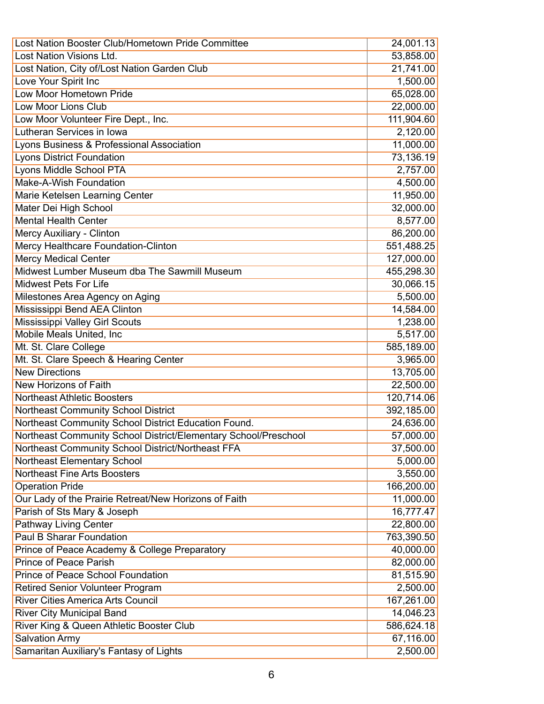| Lost Nation Booster Club/Hometown Pride Committee               | 24,001.13  |
|-----------------------------------------------------------------|------------|
| Lost Nation Visions Ltd.                                        | 53,858.00  |
| Lost Nation, City of/Lost Nation Garden Club                    | 21,741.00  |
| Love Your Spirit Inc                                            | 1,500.00   |
| Low Moor Hometown Pride                                         | 65,028.00  |
| Low Moor Lions Club                                             | 22,000.00  |
| Low Moor Volunteer Fire Dept., Inc.                             | 111,904.60 |
| Lutheran Services in Iowa                                       | 2,120.00   |
| Lyons Business & Professional Association                       | 11,000.00  |
| <b>Lyons District Foundation</b>                                | 73,136.19  |
| <b>Lyons Middle School PTA</b>                                  | 2,757.00   |
| Make-A-Wish Foundation                                          | 4,500.00   |
| Marie Ketelsen Learning Center                                  | 11,950.00  |
| Mater Dei High School                                           | 32,000.00  |
| <b>Mental Health Center</b>                                     | 8,577.00   |
| Mercy Auxiliary - Clinton                                       | 86,200.00  |
| Mercy Healthcare Foundation-Clinton                             | 551,488.25 |
| <b>Mercy Medical Center</b>                                     | 127,000.00 |
| Midwest Lumber Museum dba The Sawmill Museum                    | 455,298.30 |
| <b>Midwest Pets For Life</b>                                    | 30,066.15  |
| Milestones Area Agency on Aging                                 | 5,500.00   |
| Mississippi Bend AEA Clinton                                    | 14,584.00  |
| Mississippi Valley Girl Scouts                                  | 1,238.00   |
| Mobile Meals United, Inc.                                       | 5,517.00   |
| Mt. St. Clare College                                           | 585,189.00 |
| Mt. St. Clare Speech & Hearing Center                           | 3,965.00   |
| <b>New Directions</b>                                           | 13,705.00  |
| <b>New Horizons of Faith</b>                                    | 22,500.00  |
| <b>Northeast Athletic Boosters</b>                              | 120,714.06 |
| Northeast Community School District                             | 392,185.00 |
| Northeast Community School District Education Found.            | 24,636.00  |
| Northeast Community School District/Elementary School/Preschool | 57,000.00  |
| Northeast Community School District/Northeast FFA               | 37,500.00  |
| <b>Northeast Elementary School</b>                              | 5,000.00   |
| <b>Northeast Fine Arts Boosters</b>                             | 3,550.00   |
| <b>Operation Pride</b>                                          | 166,200.00 |
| Our Lady of the Prairie Retreat/New Horizons of Faith           | 11,000.00  |
| Parish of Sts Mary & Joseph                                     | 16,777.47  |
| <b>Pathway Living Center</b>                                    | 22,800.00  |
| <b>Paul B Sharar Foundation</b>                                 | 763,390.50 |
| Prince of Peace Academy & College Preparatory                   | 40,000.00  |
| <b>Prince of Peace Parish</b>                                   | 82,000.00  |
| Prince of Peace School Foundation                               | 81,515.90  |
| Retired Senior Volunteer Program                                | 2,500.00   |
| <b>River Cities America Arts Council</b>                        | 167,261.00 |
| <b>River City Municipal Band</b>                                | 14,046.23  |
| River King & Queen Athletic Booster Club                        | 586,624.18 |
| <b>Salvation Army</b>                                           | 67,116.00  |
| Samaritan Auxiliary's Fantasy of Lights                         | 2,500.00   |